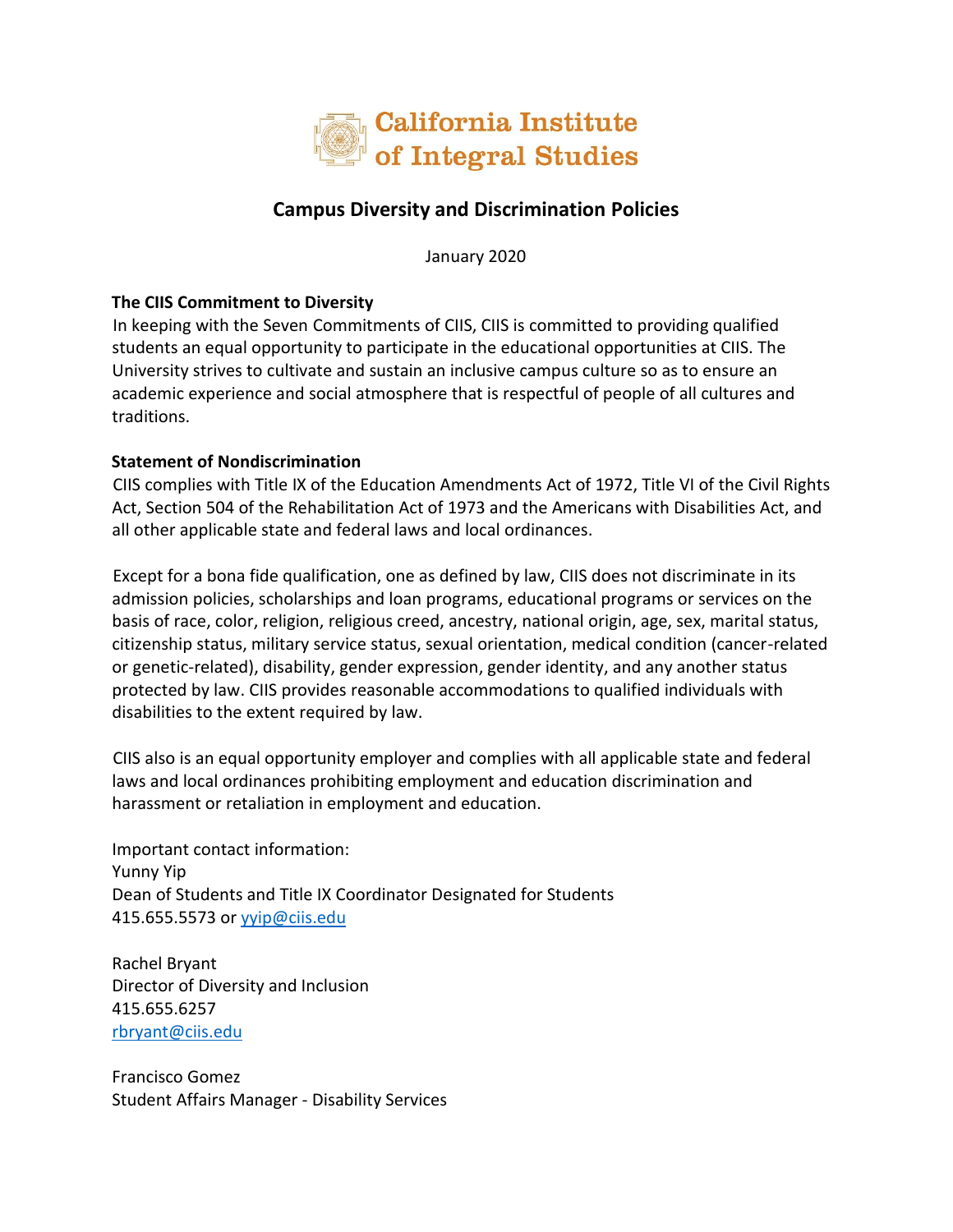

## **Campus Diversity and Discrimination Policies**

January 2020

## **The CIIS Commitment to Diversity**

In keeping with the Seven Commitments of CIIS, CIIS is committed to providing qualified students an equal opportunity to participate in the educational opportunities at CIIS. The University strives to cultivate and sustain an inclusive campus culture so as to ensure an academic experience and social atmosphere that is respectful of people of all cultures and traditions.

## **Statement of Nondiscrimination**

CIIS complies with Title IX of the Education Amendments Act of 1972, Title VI of the Civil Rights Act, Section 504 of the Rehabilitation Act of 1973 and the Americans with Disabilities Act, and all other applicable state and federal laws and local ordinances.

Except for a bona fide qualification, one as defined by law, CIIS does not discriminate in its admission policies, scholarships and loan programs, educational programs or services on the basis of race, color, religion, religious creed, ancestry, national origin, age, sex, marital status, citizenship status, military service status, sexual orientation, medical condition (cancer-related or genetic-related), disability, gender expression, gender identity, and any another status protected by law. CIIS provides reasonable accommodations to qualified individuals with disabilities to the extent required by law.

CIIS also is an equal opportunity employer and complies with all applicable state and federal laws and local ordinances prohibiting employment and education discrimination and harassment or retaliation in employment and education.

Important contact information: Yunny Yip Dean of Students and Title IX Coordinator Designated for Students 415.655.5573 or [yyip@ciis.edu](mailto:yyip@ciis.edu)

Rachel Bryant Director of Diversity and Inclusion 415.655.6257 [rbryant@ciis.edu](mailto:rbryant@ciis.edu)

Francisco Gomez Student Affairs Manager - Disability Services